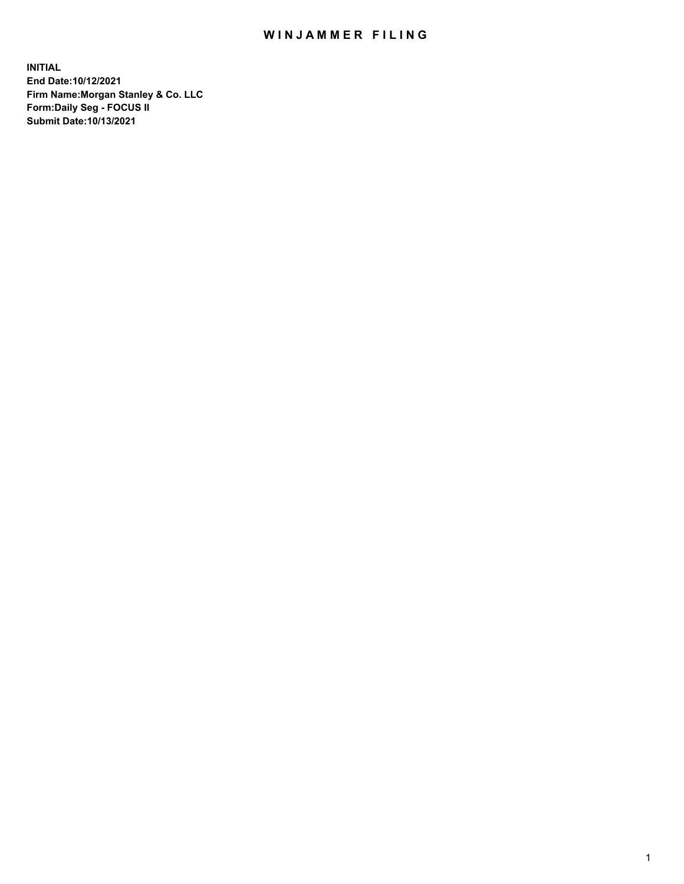## WIN JAMMER FILING

**INITIAL End Date:10/12/2021 Firm Name:Morgan Stanley & Co. LLC Form:Daily Seg - FOCUS II Submit Date:10/13/2021**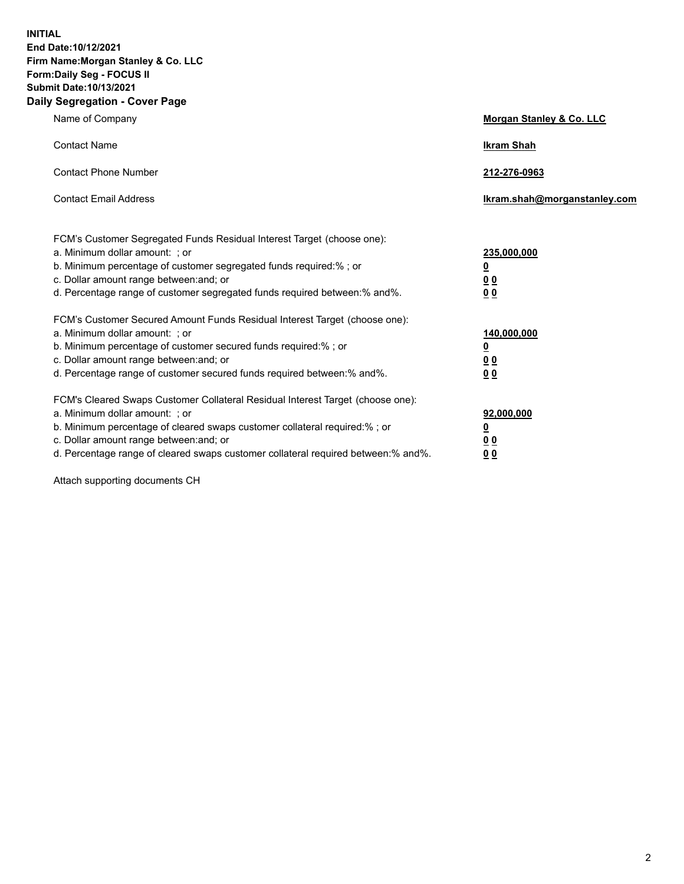**INITIAL End Date:10/12/2021 Firm Name:Morgan Stanley & Co. LLC Form:Daily Seg - FOCUS II Submit Date:10/13/2021 Daily Segregation - Cover Page**

| Name of Company                                                                                                                                                                                                                                                                                                                | Morgan Stanley & Co. LLC                                |
|--------------------------------------------------------------------------------------------------------------------------------------------------------------------------------------------------------------------------------------------------------------------------------------------------------------------------------|---------------------------------------------------------|
| <b>Contact Name</b>                                                                                                                                                                                                                                                                                                            | <b>Ikram Shah</b>                                       |
| <b>Contact Phone Number</b>                                                                                                                                                                                                                                                                                                    | 212-276-0963                                            |
| <b>Contact Email Address</b>                                                                                                                                                                                                                                                                                                   | Ikram.shah@morganstanley.com                            |
| FCM's Customer Segregated Funds Residual Interest Target (choose one):<br>a. Minimum dollar amount: ; or<br>b. Minimum percentage of customer segregated funds required:%; or<br>c. Dollar amount range between: and; or<br>d. Percentage range of customer segregated funds required between: % and %.                        | 235,000,000<br><u>0</u><br>00<br>0 Q                    |
| FCM's Customer Secured Amount Funds Residual Interest Target (choose one):<br>a. Minimum dollar amount: ; or<br>b. Minimum percentage of customer secured funds required:%; or<br>c. Dollar amount range between: and; or<br>d. Percentage range of customer secured funds required between:% and%.                            | 140,000,000<br><u>0</u><br><u>0 0</u><br>0 <sub>0</sub> |
| FCM's Cleared Swaps Customer Collateral Residual Interest Target (choose one):<br>a. Minimum dollar amount: ; or<br>b. Minimum percentage of cleared swaps customer collateral required:% ; or<br>c. Dollar amount range between: and; or<br>d. Percentage range of cleared swaps customer collateral required between:% and%. | 92,000,000<br><u>0</u><br><u>00</u><br>00               |

Attach supporting documents CH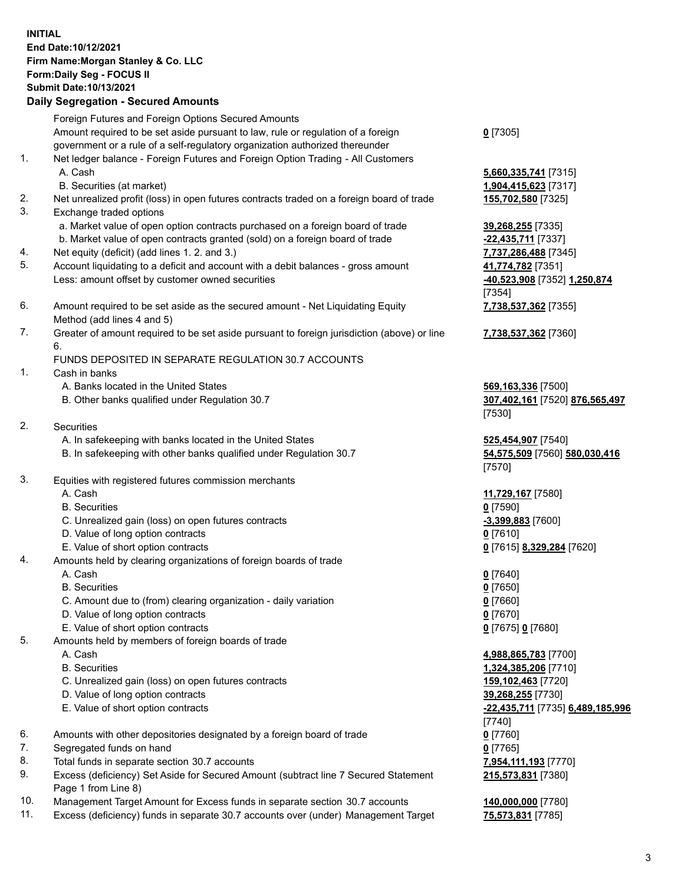## **INITIAL End Date:10/12/2021 Firm Name:Morgan Stanley & Co. LLC Form:Daily Seg - FOCUS II Submit Date:10/13/2021**

## **Daily Segregation - Secured Amounts**

Foreign Futures and Foreign Options Secured Amounts Amount required to be set aside pursuant to law, rule or regulation of a foreign government or a rule of a self-regulatory organization authorized thereunder 1. Net ledger balance - Foreign Futures and Foreign Option Trading - All Customers A. Cash **5,660,335,741** [7315] B. Securities (at market) **1,904,415,623** [7317] 2. Net unrealized profit (loss) in open futures contracts traded on a foreign board of trade **155,702,580** [7325] 3. Exchange traded options a. Market value of open option contracts purchased on a foreign board of trade **39,268,255** [7335] b. Market value of open contracts granted (sold) on a foreign board of trade **-22,435,711** [7337] 4. Net equity (deficit) (add lines 1. 2. and 3.) **7,737,286,488** [7345] 5. Account liquidating to a deficit and account with a debit balances - gross amount **41,774,782** [7351] Less: amount offset by customer owned securities **-40,523,908** [7352] **1,250,874** 6. Amount required to be set aside as the secured amount - Net Liquidating Equity Method (add lines 4 and 5) 7. Greater of amount required to be set aside pursuant to foreign jurisdiction (above) or line 6. FUNDS DEPOSITED IN SEPARATE REGULATION 30.7 ACCOUNTS 1. Cash in banks A. Banks located in the United States **569,163,336** [7500] B. Other banks qualified under Regulation 30.7 **307,402,161** [7520] **876,565,497** 2. Securities A. In safekeeping with banks located in the United States **525,454,907** [7540] B. In safekeeping with other banks qualified under Regulation 30.7 **54,575,509** [7560] **580,030,416** 3. Equities with registered futures commission merchants A. Cash **11,729,167** [7580] B. Securities **0** [7590] C. Unrealized gain (loss) on open futures contracts **-3,399,883** [7600] D. Value of long option contracts **0** [7610] E. Value of short option contracts **0** [7615] **8,329,284** [7620] 4. Amounts held by clearing organizations of foreign boards of trade A. Cash **0** [7640] B. Securities **0** [7650] C. Amount due to (from) clearing organization - daily variation **0** [7660] D. Value of long option contracts **0** [7670] E. Value of short option contracts **0** [7675] **0** [7680] 5. Amounts held by members of foreign boards of trade A. Cash **4,988,865,783** [7700] B. Securities **1,324,385,206** [7710] C. Unrealized gain (loss) on open futures contracts **159,102,463** [7720] D. Value of long option contracts **39,268,255** [7730]

- E. Value of short option contracts **-22,435,711** [7735] **6,489,185,996**
- 6. Amounts with other depositories designated by a foreign board of trade **0** [7760]
- 7. Segregated funds on hand **0** [7765]
- 8. Total funds in separate section 30.7 accounts **7,954,111,193** [7770]
- 9. Excess (deficiency) Set Aside for Secured Amount (subtract line 7 Secured Statement Page 1 from Line 8)
- 10. Management Target Amount for Excess funds in separate section 30.7 accounts **140,000,000** [7780]
- 11. Excess (deficiency) funds in separate 30.7 accounts over (under) Management Target **75,573,831** [7785]

**0** [7305]

[7354] **7,738,537,362** [7355]

**7,738,537,362** [7360]

[7530]

[7570]

[7740] **215,573,831** [7380]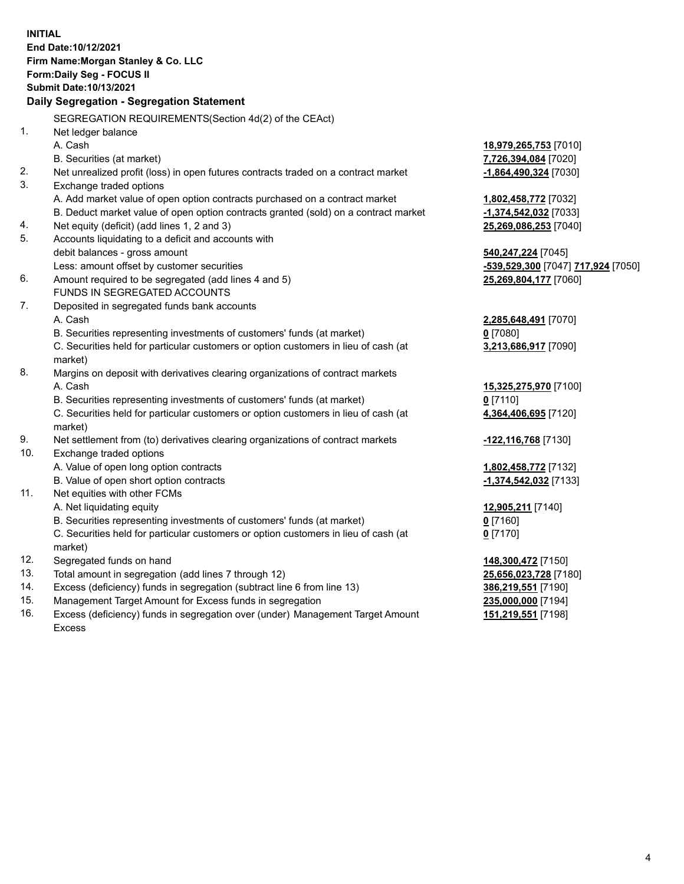**INITIAL End Date:10/12/2021 Firm Name:Morgan Stanley & Co. LLC Form:Daily Seg - FOCUS II Submit Date:10/13/2021 Daily Segregation - Segregation Statement** SEGREGATION REQUIREMENTS(Section 4d(2) of the CEAct) 1. Net ledger balance A. Cash **18,979,265,753** [7010] B. Securities (at market) **7,726,394,084** [7020] 2. Net unrealized profit (loss) in open futures contracts traded on a contract market **-1,864,490,324** [7030] 3. Exchange traded options A. Add market value of open option contracts purchased on a contract market **1,802,458,772** [7032] B. Deduct market value of open option contracts granted (sold) on a contract market **-1,374,542,032** [7033] 4. Net equity (deficit) (add lines 1, 2 and 3) **25,269,086,253** [7040] 5. Accounts liquidating to a deficit and accounts with debit balances - gross amount **540,247,224** [7045] Less: amount offset by customer securities **-539,529,300** [7047] **717,924** [7050] 6. Amount required to be segregated (add lines 4 and 5) **25,269,804,177** [7060] FUNDS IN SEGREGATED ACCOUNTS 7. Deposited in segregated funds bank accounts A. Cash **2,285,648,491** [7070] B. Securities representing investments of customers' funds (at market) **0** [7080] C. Securities held for particular customers or option customers in lieu of cash (at market) **3,213,686,917** [7090] 8. Margins on deposit with derivatives clearing organizations of contract markets A. Cash **15,325,275,970** [7100] B. Securities representing investments of customers' funds (at market) **0** [7110] C. Securities held for particular customers or option customers in lieu of cash (at market) **4,364,406,695** [7120] 9. Net settlement from (to) derivatives clearing organizations of contract markets **-122,116,768** [7130] 10. Exchange traded options A. Value of open long option contracts **1,802,458,772** [7132] B. Value of open short option contracts **-1,374,542,032** [7133] 11. Net equities with other FCMs A. Net liquidating equity **12,905,211** [7140] B. Securities representing investments of customers' funds (at market) **0** [7160] C. Securities held for particular customers or option customers in lieu of cash (at market) **0** [7170] 12. Segregated funds on hand **148,300,472** [7150] 13. Total amount in segregation (add lines 7 through 12) **25,656,023,728** [7180] 14. Excess (deficiency) funds in segregation (subtract line 6 from line 13) **386,219,551** [7190] 15. Management Target Amount for Excess funds in segregation **235,000,000** [7194]

16. Excess (deficiency) funds in segregation over (under) Management Target Amount Excess

**151,219,551** [7198]